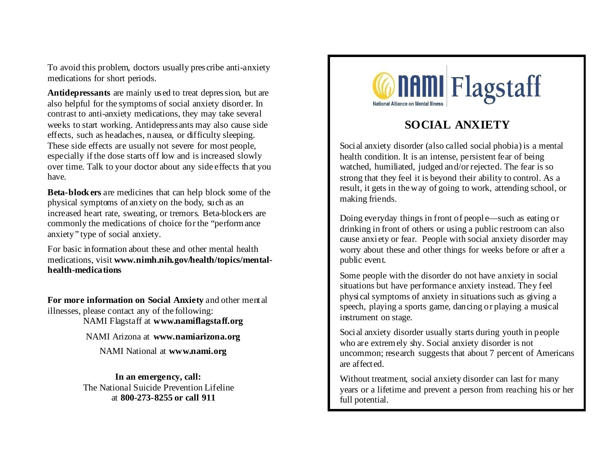To avoid this problem, doctors usually prescribe anti-anxiety medications for short periods.

**Antidepressants** are mainly used to treat depression, but are also helpful for the symptoms of social anxiety disorder. In contrast to anti-anxiety medications, they may take several weeks to start working. Antidepressants may also cause side effects, such as headaches, nausea, or difficulty sleeping. These side effects are usually not severe for most people, especially if the dose starts off low and is increased slowly over time. Talk to your doctor about any side effects that you have.

**Beta-block ers** are medicines that can help block some of the physical symptoms of anxiety on the body, such as an increased heart rate, sweating, or tremors. Beta-blockers are commonly the medications of choice for the "performance anxiety" type of social anxiety.

For basic information about these and other mental health medications, visit **www.nimh.nih.gov/health/topics/mentalhealth-medications**

**For more information on Social Anxiety** and other mental illnesses, please contact any of the following:

NAMI Flagstaff at **www.namiflagstaff.org**

NAMI Arizona at **www.namiarizona.org**

NAMI National at **www.nami.org**

**In an emergency, call:** The National Suicide Prevention Lifeline at **800-273-8255 or call 911**



# **SOCIAL ANXIETY**

Social anxiety disorder (also called social phobia) is a mental health condition. It is an intense, persistent fear of being watched, humiliated, judged and/or rejected. The fear is so strong that they feel it is beyond their ability to control. As a result, it gets in the way of going to work, attending school, or making friends.

Doing everyday things in front of people—such as eating or drinking in front of others or using a public restroom can also cause anxiety or fear. People with social anxiety disorder may worry about these and other things for weeks before or after a public event.

Some people with the disorder do not have anxiety in social situations but have performance anxiety instead. They feel physical symptoms of anxiety in situations such as giving a speech, playing a sports game, dancing or playing a musical instrument on stage.

Social anxiety disorder usually starts during youth in people who are extremely shy. Social anxiety disorder is not uncommon; research suggests that about 7 percent of Americans are affected.

Without treatment, social anxiety disorder can last for many years or a lifetime and prevent a person from reaching his or her full potential.